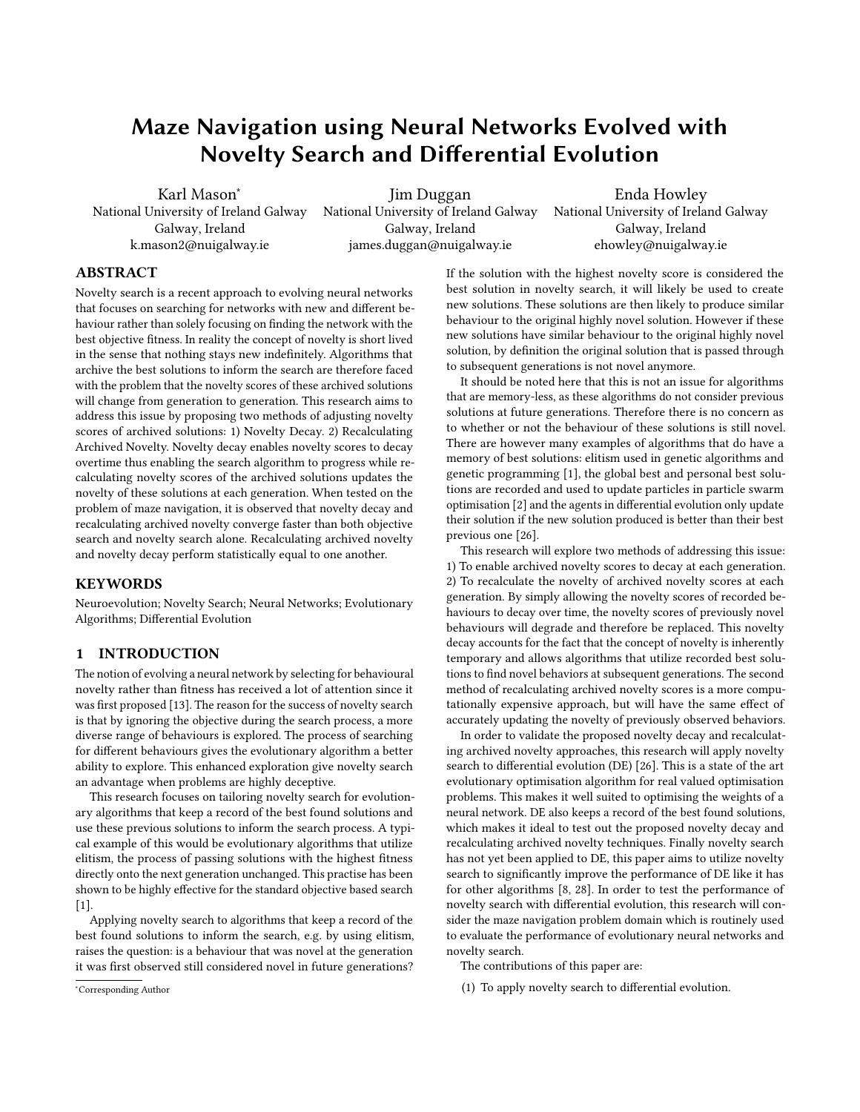# Maze Navigation using Neural Networks Evolved with Novelty Search and Differential Evolution

Karl Mason<sup>∗</sup> National University of Ireland Galway Galway, Ireland k.mason2@nuigalway.ie

Jim Duggan National University of Ireland Galway Galway, Ireland james.duggan@nuigalway.ie

Enda Howley National University of Ireland Galway Galway, Ireland ehowley@nuigalway.ie

# ABSTRACT

Novelty search is a recent approach to evolving neural networks that focuses on searching for networks with new and different behaviour rather than solely focusing on finding the network with the best objective fitness. In reality the concept of novelty is short lived in the sense that nothing stays new indefinitely. Algorithms that archive the best solutions to inform the search are therefore faced with the problem that the novelty scores of these archived solutions will change from generation to generation. This research aims to address this issue by proposing two methods of adjusting novelty scores of archived solutions: 1) Novelty Decay. 2) Recalculating Archived Novelty. Novelty decay enables novelty scores to decay overtime thus enabling the search algorithm to progress while recalculating novelty scores of the archived solutions updates the novelty of these solutions at each generation. When tested on the problem of maze navigation, it is observed that novelty decay and recalculating archived novelty converge faster than both objective search and novelty search alone. Recalculating archived novelty and novelty decay perform statistically equal to one another.

# **KEYWORDS**

Neuroevolution; Novelty Search; Neural Networks; Evolutionary Algorithms; Differential Evolution

## 1 INTRODUCTION

The notion of evolving a neural network by selecting for behavioural novelty rather than fitness has received a lot of attention since it was first proposed [\[13\]](#page-5-0). The reason for the success of novelty search is that by ignoring the objective during the search process, a more diverse range of behaviours is explored. The process of searching for different behaviours gives the evolutionary algorithm a better ability to explore. This enhanced exploration give novelty search an advantage when problems are highly deceptive.

This research focuses on tailoring novelty search for evolutionary algorithms that keep a record of the best found solutions and use these previous solutions to inform the search process. A typical example of this would be evolutionary algorithms that utilize elitism, the process of passing solutions with the highest fitness directly onto the next generation unchanged. This practise has been shown to be highly effective for the standard objective based search  $[1]$ .

Applying novelty search to algorithms that keep a record of the best found solutions to inform the search, e.g. by using elitism, raises the question: is a behaviour that was novel at the generation it was first observed still considered novel in future generations?

<sup>∗</sup>Corresponding Author

If the solution with the highest novelty score is considered the best solution in novelty search, it will likely be used to create new solutions. These solutions are then likely to produce similar behaviour to the original highly novel solution. However if these new solutions have similar behaviour to the original highly novel solution, by definition the original solution that is passed through to subsequent generations is not novel anymore.

It should be noted here that this is not an issue for algorithms that are memory-less, as these algorithms do not consider previous solutions at future generations. Therefore there is no concern as to whether or not the behaviour of these solutions is still novel. There are however many examples of algorithms that do have a memory of best solutions: elitism used in genetic algorithms and genetic programming [\[1\]](#page-5-1), the global best and personal best solutions are recorded and used to update particles in particle swarm optimisation [\[2\]](#page-5-2) and the agents in differential evolution only update their solution if the new solution produced is better than their best previous one [\[26\]](#page-6-0).

This research will explore two methods of addressing this issue: 1) To enable archived novelty scores to decay at each generation. 2) To recalculate the novelty of archived novelty scores at each generation. By simply allowing the novelty scores of recorded behaviours to decay over time, the novelty scores of previously novel behaviours will degrade and therefore be replaced. This novelty decay accounts for the fact that the concept of novelty is inherently temporary and allows algorithms that utilize recorded best solutions to find novel behaviors at subsequent generations. The second method of recalculating archived novelty scores is a more computationally expensive approach, but will have the same effect of accurately updating the novelty of previously observed behaviors.

In order to validate the proposed novelty decay and recalculating archived novelty approaches, this research will apply novelty search to differential evolution (DE) [\[26\]](#page-6-0). This is a state of the art evolutionary optimisation algorithm for real valued optimisation problems. This makes it well suited to optimising the weights of a neural network. DE also keeps a record of the best found solutions, which makes it ideal to test out the proposed novelty decay and recalculating archived novelty techniques. Finally novelty search has not yet been applied to DE, this paper aims to utilize novelty search to significantly improve the performance of DE like it has for other algorithms [\[8,](#page-5-3) [28\]](#page-6-1). In order to test the performance of novelty search with differential evolution, this research will consider the maze navigation problem domain which is routinely used to evaluate the performance of evolutionary neural networks and novelty search.

The contributions of this paper are:

(1) To apply novelty search to differential evolution.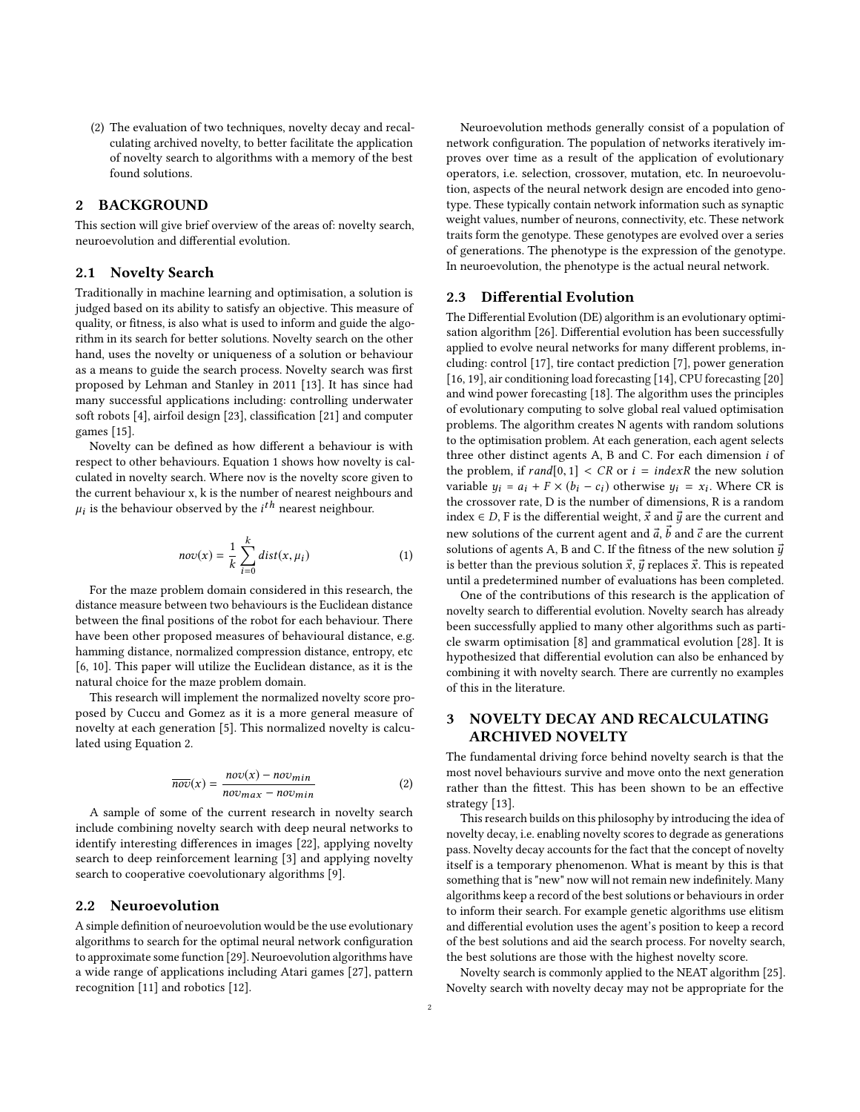(2) The evaluation of two techniques, novelty decay and recalculating archived novelty, to better facilitate the application of novelty search to algorithms with a memory of the best found solutions.

# 2 BACKGROUND

This section will give brief overview of the areas of: novelty search, neuroevolution and differential evolution.

#### 2.1 Novelty Search

Traditionally in machine learning and optimisation, a solution is judged based on its ability to satisfy an objective. This measure of quality, or fitness, is also what is used to inform and guide the algorithm in its search for better solutions. Novelty search on the other hand, uses the novelty or uniqueness of a solution or behaviour as a means to guide the search process. Novelty search was first proposed by Lehman and Stanley in 2011 [\[13\]](#page-5-0). It has since had many successful applications including: controlling underwater soft robots [\[4\]](#page-5-4), airfoil design [\[23\]](#page-6-2), classification [\[21\]](#page-6-3) and computer games [\[15\]](#page-5-5).

Novelty can be defined as how different a behaviour is with respect to other behaviours. Equation [1](#page-1-0) shows how novelty is calculated in novelty search. Where nov is the novelty score given to the current behaviour x, k is the number of nearest neighbours and  $\mu_i$  is the behaviour observed by the  $i^{th}$  nearest neighbour.

<span id="page-1-0"></span>
$$
nov(x) = \frac{1}{k} \sum_{i=0}^{k} dist(x, \mu_i)
$$
 (1)

For the maze problem domain considered in this research, the distance measure between two behaviours is the Euclidean distance between the final positions of the robot for each behaviour. There have been other proposed measures of behavioural distance, e.g. hamming distance, normalized compression distance, entropy, etc [\[6,](#page-5-6) [10\]](#page-5-7). This paper will utilize the Euclidean distance, as it is the natural choice for the maze problem domain.

This research will implement the normalized novelty score proposed by Cuccu and Gomez as it is a more general measure of novelty at each generation [\[5\]](#page-5-8). This normalized novelty is calculated using Equation [2.](#page-1-1)

<span id="page-1-1"></span>
$$
\overline{nov}(x) = \frac{nov(x) - nov_{min}}{nov_{max} - nov_{min}} \tag{2}
$$

A sample of some of the current research in novelty search include combining novelty search with deep neural networks to identify interesting differences in images [\[22\]](#page-6-4), applying novelty search to deep reinforcement learning [\[3\]](#page-5-9) and applying novelty search to cooperative coevolutionary algorithms [\[9\]](#page-5-10).

# 2.2 Neuroevolution

A simple definition of neuroevolution would be the use evolutionary algorithms to search for the optimal neural network configuration to approximate some function [\[29\]](#page-6-5). Neuroevolution algorithms have a wide range of applications including Atari games [\[27\]](#page-6-6), pattern recognition [\[11\]](#page-5-11) and robotics [\[12\]](#page-5-12).

Neuroevolution methods generally consist of a population of network configuration. The population of networks iteratively improves over time as a result of the application of evolutionary operators, i.e. selection, crossover, mutation, etc. In neuroevolution, aspects of the neural network design are encoded into genotype. These typically contain network information such as synaptic weight values, number of neurons, connectivity, etc. These network traits form the genotype. These genotypes are evolved over a series of generations. The phenotype is the expression of the genotype. In neuroevolution, the phenotype is the actual neural network.

## 2.3 Differential Evolution

The Differential Evolution (DE) algorithm is an evolutionary optimisation algorithm [\[26\]](#page-6-0). Differential evolution has been successfully applied to evolve neural networks for many different problems, including: control [\[17\]](#page-6-7), tire contact prediction [\[7\]](#page-5-13), power generation [\[16,](#page-5-14) [19\]](#page-6-8), air conditioning load forecasting [\[14\]](#page-5-15), CPU forecasting [\[20\]](#page-6-9) and wind power forecasting [\[18\]](#page-6-10). The algorithm uses the principles of evolutionary computing to solve global real valued optimisation problems. The algorithm creates N agents with random solutions to the optimisation problem. At each generation, each agent selects three other distinct agents A, B and C. For each dimension i of the problem, if  $rand[0, 1] < CR$  or  $i = indexR$  the new solution variable  $y_i = a_i + F \times (b_i - c_i)$  otherwise  $y_i = x_i$ . Where CR is the crossover rate, D is the number of dimensions, R is a random index ∈ D, F is the differential weight,  $\vec{x}$  and  $\vec{y}$  are the current and new solutions of the current agent and  $\vec{a}, \vec{b}$  and  $\vec{c}$  are the current solutions of agents A, B and C. If the fitness of the new solution  $\vec{y}$ is better than the previous solution  $\vec{x}$ ,  $\vec{y}$  replaces  $\vec{x}$ . This is repeated until a predetermined number of evaluations has been completed.

One of the contributions of this research is the application of novelty search to differential evolution. Novelty search has already been successfully applied to many other algorithms such as particle swarm optimisation [\[8\]](#page-5-3) and grammatical evolution [\[28\]](#page-6-1). It is hypothesized that differential evolution can also be enhanced by combining it with novelty search. There are currently no examples of this in the literature.

# 3 NOVELTY DECAY AND RECALCULATING ARCHIVED NOVELTY

The fundamental driving force behind novelty search is that the most novel behaviours survive and move onto the next generation rather than the fittest. This has been shown to be an effective strategy [\[13\]](#page-5-0).

This research builds on this philosophy by introducing the idea of novelty decay, i.e. enabling novelty scores to degrade as generations pass. Novelty decay accounts for the fact that the concept of novelty itself is a temporary phenomenon. What is meant by this is that something that is "new" now will not remain new indefinitely. Many algorithms keep a record of the best solutions or behaviours in order to inform their search. For example genetic algorithms use elitism and differential evolution uses the agent's position to keep a record of the best solutions and aid the search process. For novelty search, the best solutions are those with the highest novelty score.

Novelty search is commonly applied to the NEAT algorithm [\[25\]](#page-6-11). Novelty search with novelty decay may not be appropriate for the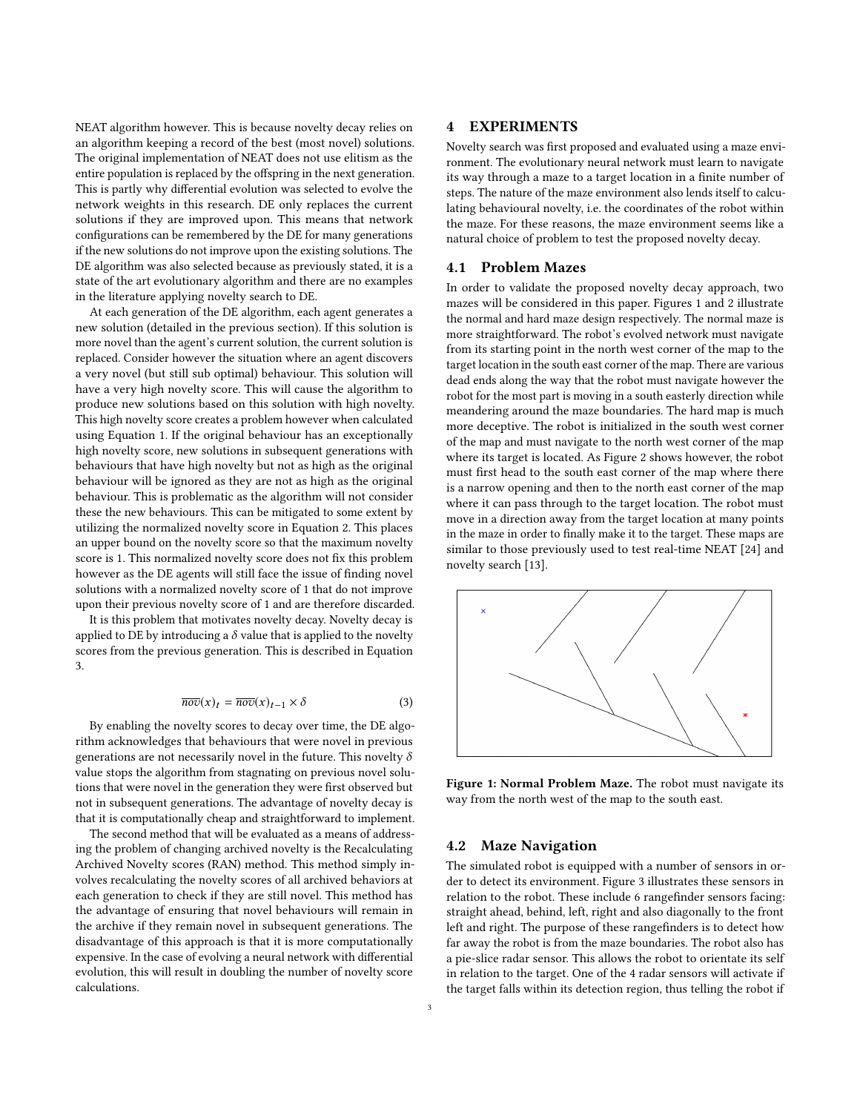NEAT algorithm however. This is because novelty decay relies on an algorithm keeping a record of the best (most novel) solutions. The original implementation of NEAT does not use elitism as the entire population is replaced by the offspring in the next generation. This is partly why differential evolution was selected to evolve the network weights in this research. DE only replaces the current solutions if they are improved upon. This means that network configurations can be remembered by the DE for many generations if the new solutions do not improve upon the existing solutions. The DE algorithm was also selected because as previously stated, it is a state of the art evolutionary algorithm and there are no examples in the literature applying novelty search to DE.

At each generation of the DE algorithm, each agent generates a new solution (detailed in the previous section). If this solution is more novel than the agent's current solution, the current solution is replaced. Consider however the situation where an agent discovers a very novel (but still sub optimal) behaviour. This solution will have a very high novelty score. This will cause the algorithm to produce new solutions based on this solution with high novelty. This high novelty score creates a problem however when calculated using Equation [1.](#page-1-0) If the original behaviour has an exceptionally high novelty score, new solutions in subsequent generations with behaviours that have high novelty but not as high as the original behaviour will be ignored as they are not as high as the original behaviour. This is problematic as the algorithm will not consider these the new behaviours. This can be mitigated to some extent by utilizing the normalized novelty score in Equation [2.](#page-1-1) This places an upper bound on the novelty score so that the maximum novelty score is 1. This normalized novelty score does not fix this problem however as the DE agents will still face the issue of finding novel solutions with a normalized novelty score of 1 that do not improve upon their previous novelty score of 1 and are therefore discarded.

It is this problem that motivates novelty decay. Novelty decay is applied to DE by introducing a  $\delta$  value that is applied to the novelty scores from the previous generation. This is described in Equation [3.](#page-2-0)

<span id="page-2-0"></span>
$$
\overline{nov}(x)_t = \overline{nov}(x)_{t-1} \times \delta \tag{3}
$$

By enabling the novelty scores to decay over time, the DE algorithm acknowledges that behaviours that were novel in previous generations are not necessarily novel in the future. This novelty  $\delta$ value stops the algorithm from stagnating on previous novel solutions that were novel in the generation they were first observed but not in subsequent generations. The advantage of novelty decay is that it is computationally cheap and straightforward to implement.

The second method that will be evaluated as a means of addressing the problem of changing archived novelty is the Recalculating Archived Novelty scores (RAN) method. This method simply involves recalculating the novelty scores of all archived behaviors at each generation to check if they are still novel. This method has the advantage of ensuring that novel behaviours will remain in the archive if they remain novel in subsequent generations. The disadvantage of this approach is that it is more computationally expensive. In the case of evolving a neural network with differential evolution, this will result in doubling the number of novelty score calculations.

Novelty search was first proposed and evaluated using a maze environment. The evolutionary neural network must learn to navigate its way through a maze to a target location in a finite number of steps. The nature of the maze environment also lends itself to calculating behavioural novelty, i.e. the coordinates of the robot within the maze. For these reasons, the maze environment seems like a natural choice of problem to test the proposed novelty decay.

#### 4.1 Problem Mazes

In order to validate the proposed novelty decay approach, two mazes will be considered in this paper. Figures [1](#page-2-1) and [2](#page-3-0) illustrate the normal and hard maze design respectively. The normal maze is more straightforward. The robot's evolved network must navigate from its starting point in the north west corner of the map to the target location in the south east corner of the map. There are various dead ends along the way that the robot must navigate however the robot for the most part is moving in a south easterly direction while meandering around the maze boundaries. The hard map is much more deceptive. The robot is initialized in the south west corner of the map and must navigate to the north west corner of the map where its target is located. As Figure [2](#page-3-0) shows however, the robot must first head to the south east corner of the map where there is a narrow opening and then to the north east corner of the map where it can pass through to the target location. The robot must move in a direction away from the target location at many points in the maze in order to finally make it to the target. These maps are similar to those previously used to test real-time NEAT [\[24\]](#page-6-12) and novelty search [\[13\]](#page-5-0).

<span id="page-2-1"></span>

Figure 1: Normal Problem Maze. The robot must navigate its way from the north west of the map to the south east.

## 4.2 Maze Navigation

The simulated robot is equipped with a number of sensors in order to detect its environment. Figure [3](#page-3-1) illustrates these sensors in relation to the robot. These include 6 rangefinder sensors facing: straight ahead, behind, left, right and also diagonally to the front left and right. The purpose of these rangefinders is to detect how far away the robot is from the maze boundaries. The robot also has a pie-slice radar sensor. This allows the robot to orientate its self in relation to the target. One of the 4 radar sensors will activate if the target falls within its detection region, thus telling the robot if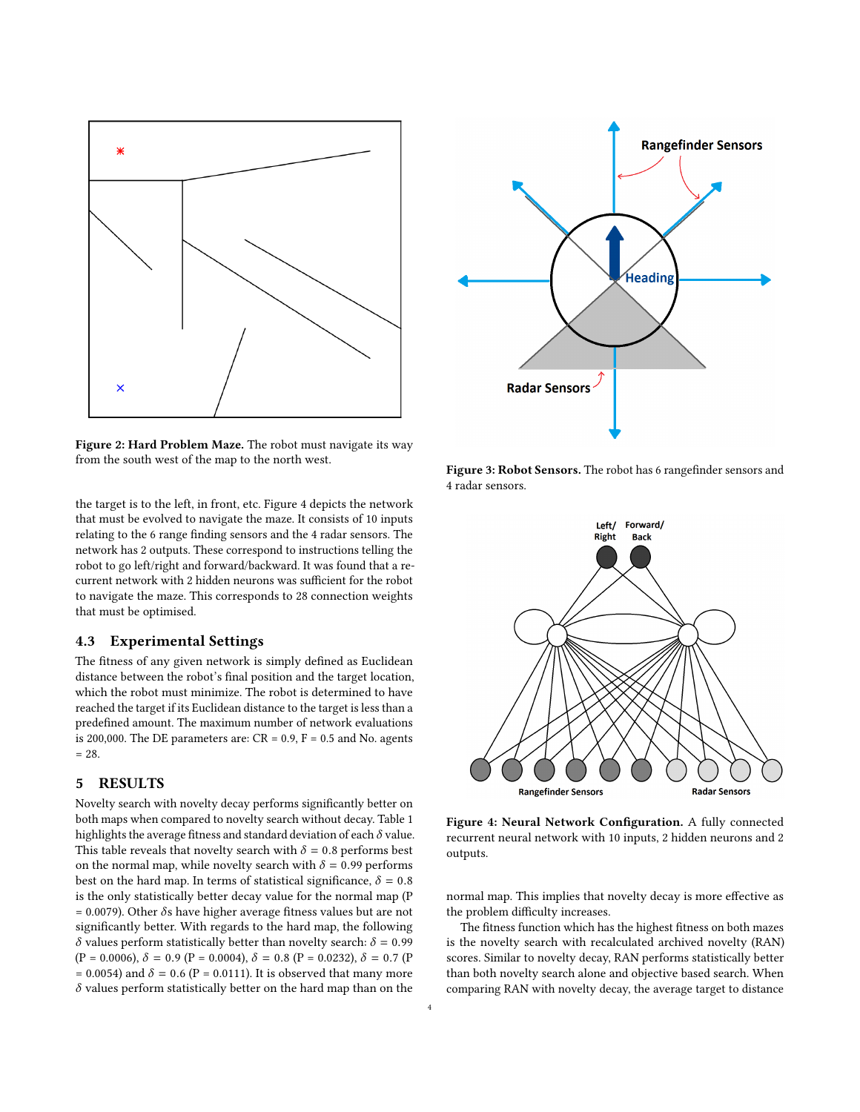<span id="page-3-0"></span>

Figure 2: Hard Problem Maze. The robot must navigate its way from the south west of the map to the north west.

the target is to the left, in front, etc. Figure [4](#page-3-2) depicts the network that must be evolved to navigate the maze. It consists of 10 inputs relating to the 6 range finding sensors and the 4 radar sensors. The network has 2 outputs. These correspond to instructions telling the robot to go left/right and forward/backward. It was found that a recurrent network with 2 hidden neurons was sufficient for the robot to navigate the maze. This corresponds to 28 connection weights that must be optimised.

## 4.3 Experimental Settings

The fitness of any given network is simply defined as Euclidean distance between the robot's final position and the target location, which the robot must minimize. The robot is determined to have reached the target if its Euclidean distance to the target is less than a predefined amount. The maximum number of network evaluations is 200,000. The DE parameters are:  $CR = 0.9$ ,  $F = 0.5$  and No. agents  $= 28.$ 

## 5 RESULTS

Novelty search with novelty decay performs significantly better on both maps when compared to novelty search without decay. Table [1](#page-4-0) highlights the average fitness and standard deviation of each  $\delta$  value. This table reveals that novelty search with  $\delta = 0.8$  performs best on the normal map, while novelty search with  $\delta = 0.99$  performs best on the hard map. In terms of statistical significance,  $\delta = 0.8$ is the only statistically better decay value for the normal map (P  $= 0.0079$ ). Other  $\delta$ s have higher average fitness values but are not significantly better. With regards to the hard map, the following δ values perform statistically better than novelty search:  $δ = 0.99$  $(P = 0.0006), \delta = 0.9 (P = 0.0004), \delta = 0.8 (P = 0.0232), \delta = 0.7 (P$ = 0.0054) and  $\delta$  = 0.6 (P = 0.0111). It is observed that many more  $\delta$  values perform statistically better on the hard map than on the

<span id="page-3-1"></span>

Figure 3: Robot Sensors. The robot has 6 rangefinder sensors and 4 radar sensors.

<span id="page-3-2"></span>

Figure 4: Neural Network Configuration. A fully connected recurrent neural network with 10 inputs, 2 hidden neurons and 2 outputs.

normal map. This implies that novelty decay is more effective as the problem difficulty increases.

The fitness function which has the highest fitness on both mazes is the novelty search with recalculated archived novelty (RAN) scores. Similar to novelty decay, RAN performs statistically better than both novelty search alone and objective based search. When comparing RAN with novelty decay, the average target to distance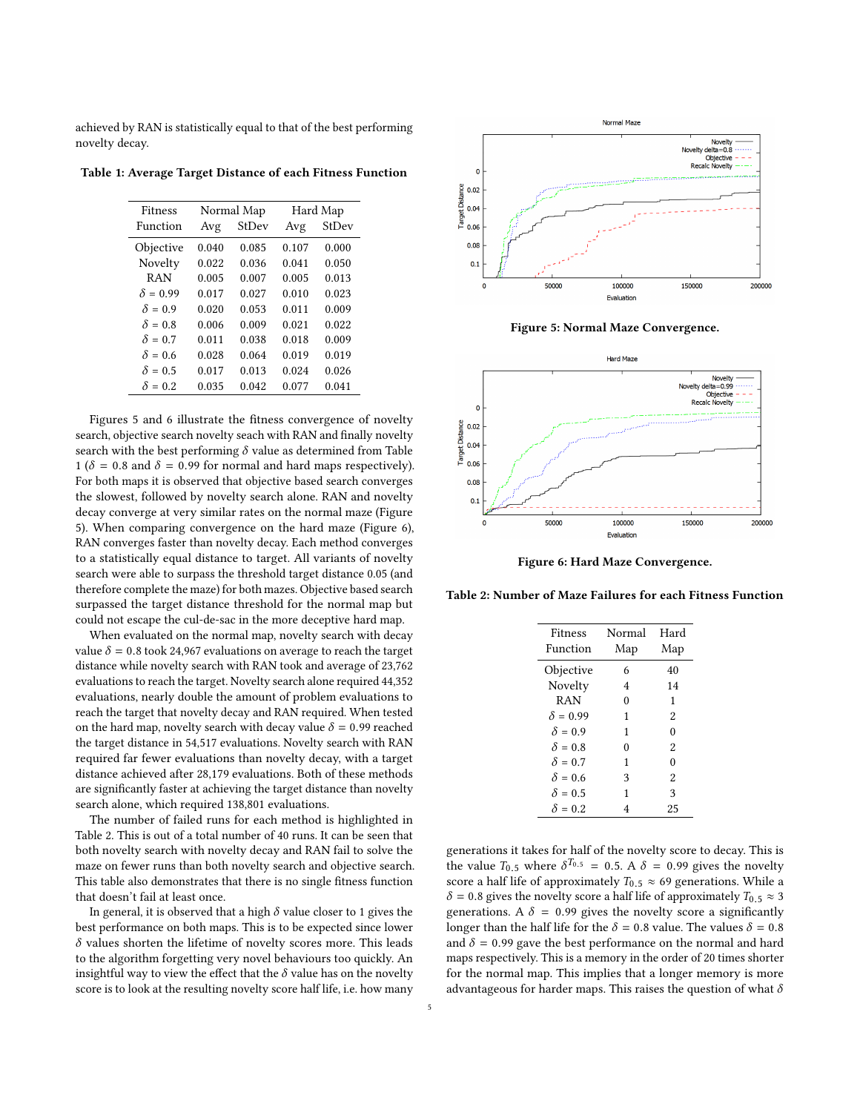achieved by RAN is statistically equal to that of the best performing novelty decay.

<span id="page-4-0"></span>Table 1: Average Target Distance of each Fitness Function

| Fitness         | Normal Map |       | Hard Map |       |
|-----------------|------------|-------|----------|-------|
| Function        | Avg        | StDev | Avg      | StDev |
| Objective       | 0.040      | 0.085 | 0.107    | 0.000 |
| Novelty         | 0.022      | 0.036 | 0.041    | 0.050 |
| <b>RAN</b>      | 0.005      | 0.007 | 0.005    | 0.013 |
| $\delta = 0.99$ | 0.017      | 0.027 | 0.010    | 0.023 |
| $\delta = 0.9$  | 0.020      | 0.053 | 0.011    | 0.009 |
| $\delta = 0.8$  | 0.006      | 0.009 | 0.021    | 0.022 |
| $\delta = 0.7$  | 0.011      | 0.038 | 0.018    | 0.009 |
| $\delta = 0.6$  | 0.028      | 0.064 | 0.019    | 0.019 |
| $\delta = 0.5$  | 0.017      | 0.013 | 0.024    | 0.026 |
| $\delta = 0.2$  | 0.035      | 0.042 | 0.077    | 0.041 |

Figures [5](#page-4-1) and [6](#page-4-2) illustrate the fitness convergence of novelty search, objective search novelty seach with RAN and finally novelty search with the best performing  $\delta$  value as determined from Table [1](#page-4-0) ( $\delta$  = 0.8 and  $\delta$  = 0.99 for normal and hard maps respectively). For both maps it is observed that objective based search converges the slowest, followed by novelty search alone. RAN and novelty decay converge at very similar rates on the normal maze (Figure [5\)](#page-4-1). When comparing convergence on the hard maze (Figure [6\)](#page-4-2), RAN converges faster than novelty decay. Each method converges to a statistically equal distance to target. All variants of novelty search were able to surpass the threshold target distance 0.05 (and therefore complete the maze) for both mazes. Objective based search surpassed the target distance threshold for the normal map but could not escape the cul-de-sac in the more deceptive hard map.

When evaluated on the normal map, novelty search with decay value  $\delta = 0.8$  took 24,967 evaluations on average to reach the target distance while novelty search with RAN took and average of 23,762 evaluations to reach the target. Novelty search alone required 44,352 evaluations, nearly double the amount of problem evaluations to reach the target that novelty decay and RAN required. When tested on the hard map, novelty search with decay value  $\delta = 0.99$  reached the target distance in 54,517 evaluations. Novelty search with RAN required far fewer evaluations than novelty decay, with a target distance achieved after 28,179 evaluations. Both of these methods are significantly faster at achieving the target distance than novelty search alone, which required 138,801 evaluations.

The number of failed runs for each method is highlighted in Table [2.](#page-4-3) This is out of a total number of 40 runs. It can be seen that both novelty search with novelty decay and RAN fail to solve the maze on fewer runs than both novelty search and objective search. This table also demonstrates that there is no single fitness function that doesn't fail at least once.

In general, it is observed that a high  $\delta$  value closer to 1 gives the best performance on both maps. This is to be expected since lower  $\delta$  values shorten the lifetime of novelty scores more. This leads to the algorithm forgetting very novel behaviours too quickly. An insightful way to view the effect that the  $\delta$  value has on the novelty score is to look at the resulting novelty score half life, i.e. how many

<span id="page-4-1"></span>

Figure 5: Normal Maze Convergence.

<span id="page-4-2"></span>

Figure 6: Hard Maze Convergence.

<span id="page-4-3"></span>Table 2: Number of Maze Failures for each Fitness Function

| <b>Fitness</b>  | Normal   | Hard     |
|-----------------|----------|----------|
| Function        | Map      | Map      |
| Objective       | 6        | 40       |
| Novelty         | 4        | 14       |
| <b>RAN</b>      | $\theta$ | 1        |
| $\delta = 0.99$ | 1        | 2        |
| $\delta = 0.9$  | 1        | 0        |
| $\delta = 0.8$  | $\theta$ | 2        |
| $\delta = 0.7$  | 1        | $\theta$ |
| $\delta = 0.6$  | 3        | 2        |
| $\delta = 0.5$  | 1        | 3        |
| $\delta = 0.2$  | 4        | 25       |

generations it takes for half of the novelty score to decay. This is the value  $T_{0.5}$  where  $\delta^{T_{0.5}} = 0.5$ . A  $\delta = 0.99$  gives the novelty score a half life of approximately  $T_{0.5} \approx 69$  generations. While a score a half life of approximately  $T_{0.5} \approx 69$  generations. While a  $\delta$  = 0.8 gives the novelty score a half life of approximately  $T_{0.5} \approx 3$ generations. A  $\delta = 0.99$  gives the novelty score a significantly longer than the half life for the  $\delta = 0.8$  value. The values  $\delta = 0.8$ and  $\delta$  = 0.99 gave the best performance on the normal and hard maps respectively. This is a memory in the order of 20 times shorter for the normal map. This implies that a longer memory is more advantageous for harder maps. This raises the question of what  $\delta$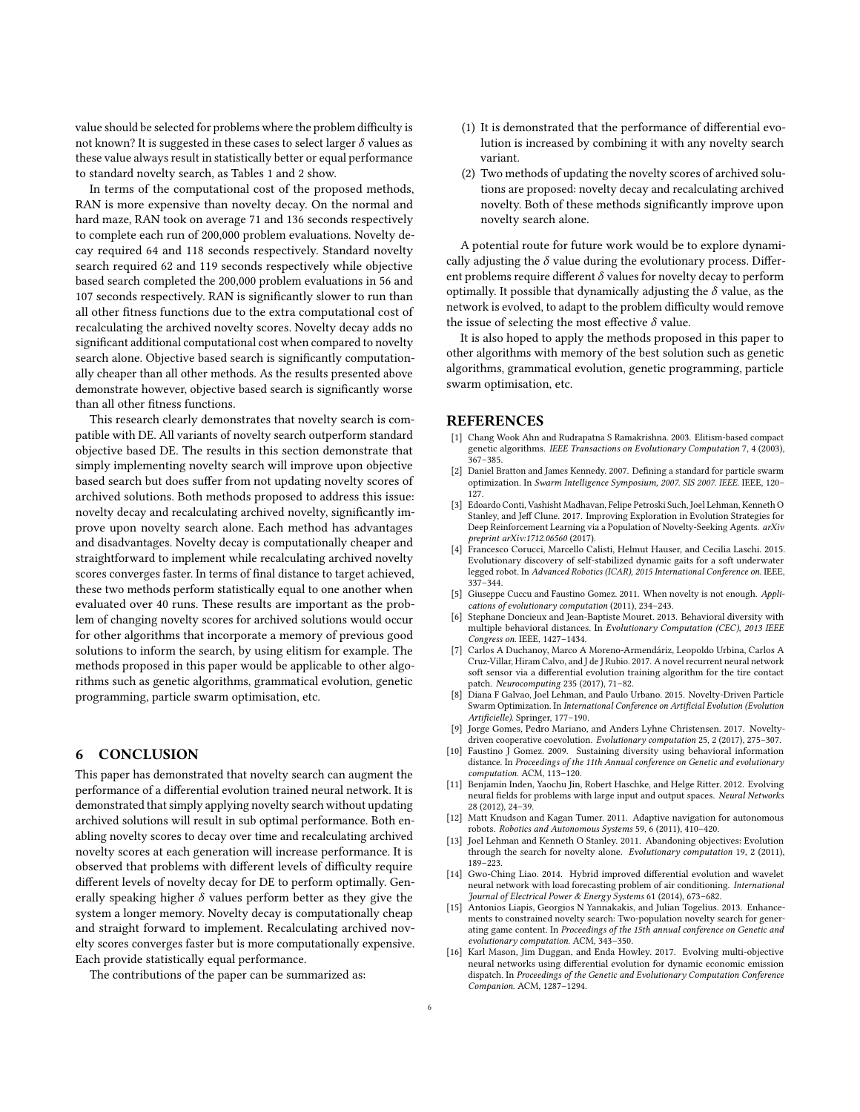value should be selected for problems where the problem difficulty is not known? It is suggested in these cases to select larger  $\delta$  values as these value always result in statistically better or equal performance to standard novelty search, as Tables [1](#page-4-0) and [2](#page-4-3) show.

In terms of the computational cost of the proposed methods, RAN is more expensive than novelty decay. On the normal and hard maze, RAN took on average 71 and 136 seconds respectively to complete each run of 200,000 problem evaluations. Novelty decay required 64 and 118 seconds respectively. Standard novelty search required 62 and 119 seconds respectively while objective based search completed the 200,000 problem evaluations in 56 and 107 seconds respectively. RAN is significantly slower to run than all other fitness functions due to the extra computational cost of recalculating the archived novelty scores. Novelty decay adds no significant additional computational cost when compared to novelty search alone. Objective based search is significantly computationally cheaper than all other methods. As the results presented above demonstrate however, objective based search is significantly worse than all other fitness functions.

This research clearly demonstrates that novelty search is compatible with DE. All variants of novelty search outperform standard objective based DE. The results in this section demonstrate that simply implementing novelty search will improve upon objective based search but does suffer from not updating novelty scores of archived solutions. Both methods proposed to address this issue: novelty decay and recalculating archived novelty, significantly improve upon novelty search alone. Each method has advantages and disadvantages. Novelty decay is computationally cheaper and straightforward to implement while recalculating archived novelty scores converges faster. In terms of final distance to target achieved, these two methods perform statistically equal to one another when evaluated over 40 runs. These results are important as the problem of changing novelty scores for archived solutions would occur for other algorithms that incorporate a memory of previous good solutions to inform the search, by using elitism for example. The methods proposed in this paper would be applicable to other algorithms such as genetic algorithms, grammatical evolution, genetic programming, particle swarm optimisation, etc.

## 6 CONCLUSION

This paper has demonstrated that novelty search can augment the performance of a differential evolution trained neural network. It is demonstrated that simply applying novelty search without updating archived solutions will result in sub optimal performance. Both enabling novelty scores to decay over time and recalculating archived novelty scores at each generation will increase performance. It is observed that problems with different levels of difficulty require different levels of novelty decay for DE to perform optimally. Generally speaking higher  $\delta$  values perform better as they give the system a longer memory. Novelty decay is computationally cheap and straight forward to implement. Recalculating archived novelty scores converges faster but is more computationally expensive. Each provide statistically equal performance.

The contributions of the paper can be summarized as:

- (1) It is demonstrated that the performance of differential evolution is increased by combining it with any novelty search variant.
- (2) Two methods of updating the novelty scores of archived solutions are proposed: novelty decay and recalculating archived novelty. Both of these methods significantly improve upon novelty search alone.

A potential route for future work would be to explore dynamically adjusting the  $\delta$  value during the evolutionary process. Different problems require different  $\delta$  values for novelty decay to perform optimally. It possible that dynamically adjusting the  $\delta$  value, as the network is evolved, to adapt to the problem difficulty would remove the issue of selecting the most effective  $\delta$  value.

It is also hoped to apply the methods proposed in this paper to other algorithms with memory of the best solution such as genetic algorithms, grammatical evolution, genetic programming, particle swarm optimisation, etc.

#### **REFERENCES**

- <span id="page-5-1"></span>[1] Chang Wook Ahn and Rudrapatna S Ramakrishna. 2003. Elitism-based compact genetic algorithms. IEEE Transactions on Evolutionary Computation 7, 4 (2003), 367–385.
- <span id="page-5-2"></span>[2] Daniel Bratton and James Kennedy. 2007. Defining a standard for particle swarm optimization. In Swarm Intelligence Symposium, 2007. SIS 2007. IEEE. IEEE, 120– 127.
- <span id="page-5-9"></span>[3] Edoardo Conti, Vashisht Madhavan, Felipe Petroski Such, Joel Lehman, Kenneth O Stanley, and Jeff Clune. 2017. Improving Exploration in Evolution Strategies for Deep Reinforcement Learning via a Population of Novelty-Seeking Agents. arXiv preprint arXiv:1712.06560 (2017).
- <span id="page-5-4"></span>[4] Francesco Corucci, Marcello Calisti, Helmut Hauser, and Cecilia Laschi. 2015. Evolutionary discovery of self-stabilized dynamic gaits for a soft underwater legged robot. In Advanced Robotics (ICAR), 2015 International Conference on. IEEE, 337–344.
- <span id="page-5-8"></span>[5] Giuseppe Cuccu and Faustino Gomez. 2011. When novelty is not enough. Applications of evolutionary computation (2011), 234–243.
- <span id="page-5-6"></span>[6] Stephane Doncieux and Jean-Baptiste Mouret. 2013. Behavioral diversity with multiple behavioral distances. In Evolutionary Computation (CEC), 2013 IEEE Congress on. IEEE, 1427–1434.
- <span id="page-5-13"></span>[7] Carlos A Duchanoy, Marco A Moreno-Armendáriz, Leopoldo Urbina, Carlos A Cruz-Villar, Hiram Calvo, and J de J Rubio. 2017. A novel recurrent neural network soft sensor via a differential evolution training algorithm for the tire contact patch. Neurocomputing 235 (2017), 71–82.
- <span id="page-5-3"></span>[8] Diana F Galvao, Joel Lehman, and Paulo Urbano. 2015. Novelty-Driven Particle Swarm Optimization. In International Conference on Artificial Evolution (Evolution Artificielle). Springer, 177–190.
- <span id="page-5-10"></span>[9] Jorge Gomes, Pedro Mariano, and Anders Lyhne Christensen. 2017. Noveltydriven cooperative coevolution. Evolutionary computation 25, 2 (2017), 275–307.
- <span id="page-5-7"></span>[10] Faustino J Gomez. 2009. Sustaining diversity using behavioral information distance. In Proceedings of the 11th Annual conference on Genetic and evolutionary computation. ACM, 113–120.
- <span id="page-5-11"></span>[11] Benjamin Inden, Yaochu Jin, Robert Haschke, and Helge Ritter. 2012. Evolving neural fields for problems with large input and output spaces. Neural Networks 28 (2012), 24–39.
- <span id="page-5-12"></span>[12] Matt Knudson and Kagan Tumer. 2011. Adaptive navigation for autonomous robots. Robotics and Autonomous Systems 59, 6 (2011), 410–420.
- <span id="page-5-0"></span>[13] Joel Lehman and Kenneth O Stanley. 2011. Abandoning objectives: Evolution through the search for novelty alone. Evolutionary computation 19, 2 (2011), 189–223.
- <span id="page-5-15"></span>[14] Gwo-Ching Liao. 2014. Hybrid improved differential evolution and wavelet neural network with load forecasting problem of air conditioning. International Journal of Electrical Power & Energy Systems 61 (2014), 673–682.
- <span id="page-5-5"></span>[15] Antonios Liapis, Georgios N Yannakakis, and Julian Togelius. 2013. Enhancements to constrained novelty search: Two-population novelty search for generating game content. In Proceedings of the 15th annual conference on Genetic and evolutionary computation. ACM, 343–350.
- <span id="page-5-14"></span>[16] Karl Mason, Jim Duggan, and Enda Howley. 2017. Evolving multi-objective neural networks using differential evolution for dynamic economic emission dispatch. In Proceedings of the Genetic and Evolutionary Computation Conference Companion. ACM, 1287–1294.